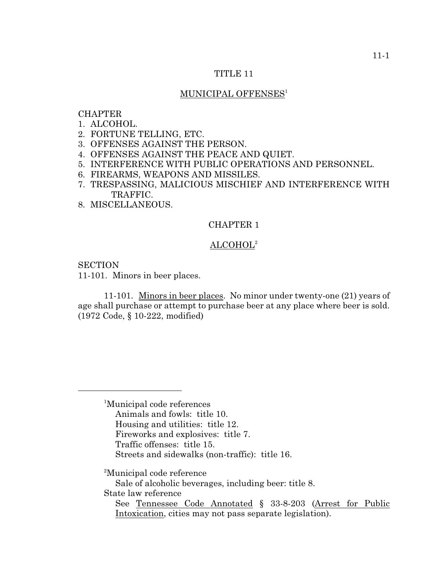#### TITLE 11

## MUNICIPAL OFFENSES<sup>1</sup>

## **CHAPTER**

- 1. ALCOHOL.
- 2. FORTUNE TELLING, ETC.
- 3. OFFENSES AGAINST THE PERSON.
- 4. OFFENSES AGAINST THE PEACE AND QUIET.
- 5. INTERFERENCE WITH PUBLIC OPERATIONS AND PERSONNEL.
- 6. FIREARMS, WEAPONS AND MISSILES.
- 7. TRESPASSING, MALICIOUS MISCHIEF AND INTERFERENCE WITH TRAFFIC.
- 8. MISCELLANEOUS.

## CHAPTER 1

## $\rm ALCOHOL^{2}$

**SECTION** 

11-101. Minors in beer places.

11-101. Minors in beer places. No minor under twenty-one (21) years of age shall purchase or attempt to purchase beer at any place where beer is sold. (1972 Code, § 10-222, modified)

<sup>1</sup>Municipal code references Animals and fowls: title 10. Housing and utilities: title 12. Fireworks and explosives: title 7. Traffic offenses: title 15. Streets and sidewalks (non-traffic): title 16.

<sup>2</sup>Municipal code reference

Sale of alcoholic beverages, including beer: title 8.

State law reference

See Tennessee Code Annotated § 33-8-203 (Arrest for Public Intoxication, cities may not pass separate legislation).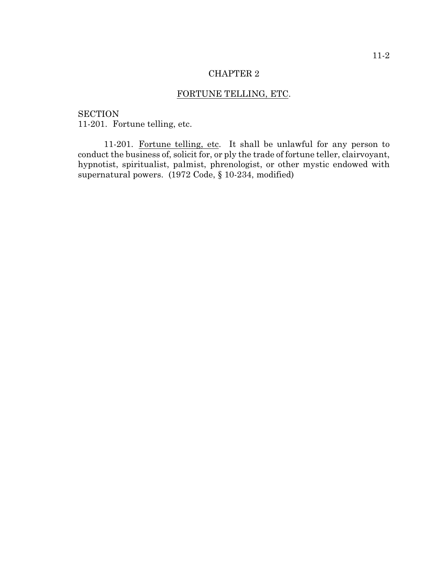# FORTUNE TELLING, ETC.

**SECTION** 11-201. Fortune telling, etc.

11-201. Fortune telling, etc. It shall be unlawful for any person to conduct the business of, solicit for, or ply the trade of fortune teller, clairvoyant, hypnotist, spiritualist, palmist, phrenologist, or other mystic endowed with supernatural powers. (1972 Code, § 10-234, modified)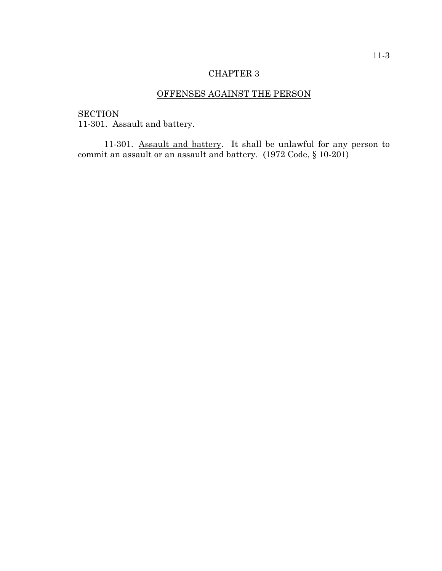# OFFENSES AGAINST THE PERSON

**SECTION** 11-301. Assault and battery.

11-301. Assault and battery. It shall be unlawful for any person to commit an assault or an assault and battery. (1972 Code, § 10-201)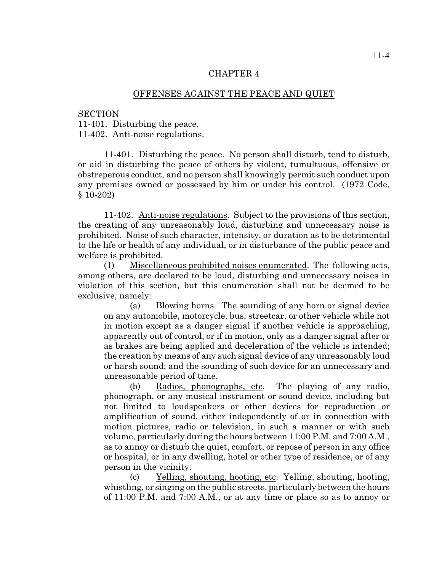## OFFENSES AGAINST THE PEACE AND QUIET

**SECTION** 

11-401. Disturbing the peace.

11-402. Anti-noise regulations.

11-401. Disturbing the peace. No person shall disturb, tend to disturb, or aid in disturbing the peace of others by violent, tumultuous, offensive or obstreperous conduct, and no person shall knowingly permit such conduct upon any premises owned or possessed by him or under his control. (1972 Code, § 10-202)

11-402. Anti-noise regulations. Subject to the provisions of this section, the creating of any unreasonably loud, disturbing and unnecessary noise is prohibited. Noise of such character, intensity, or duration as to be detrimental to the life or health of any individual, or in disturbance of the public peace and welfare is prohibited.

(1) Miscellaneous prohibited noises enumerated. The following acts, among others, are declared to be loud, disturbing and unnecessary noises in violation of this section, but this enumeration shall not be deemed to be exclusive, namely:

(a) Blowing horns. The sounding of any horn or signal device on any automobile, motorcycle, bus, streetcar, or other vehicle while not in motion except as a danger signal if another vehicle is approaching, apparently out of control, or if in motion, only as a danger signal after or as brakes are being applied and deceleration of the vehicle is intended; the creation by means of any such signal device of any unreasonably loud or harsh sound; and the sounding of such device for an unnecessary and unreasonable period of time.

(b) Radios, phonographs, etc. The playing of any radio, phonograph, or any musical instrument or sound device, including but not limited to loudspeakers or other devices for reproduction or amplification of sound, either independently of or in connection with motion pictures, radio or television, in such a manner or with such volume, particularly during the hours between 11:00 P.M. and 7:00 A.M., as to annoy or disturb the quiet, comfort, or repose of person in any office or hospital, or in any dwelling, hotel or other type of residence, or of any person in the vicinity.

(c) Yelling, shouting, hooting, etc. Yelling, shouting, hooting, whistling, or singing on the public streets, particularly between the hours of 11:00 P.M. and 7:00 A.M., or at any time or place so as to annoy or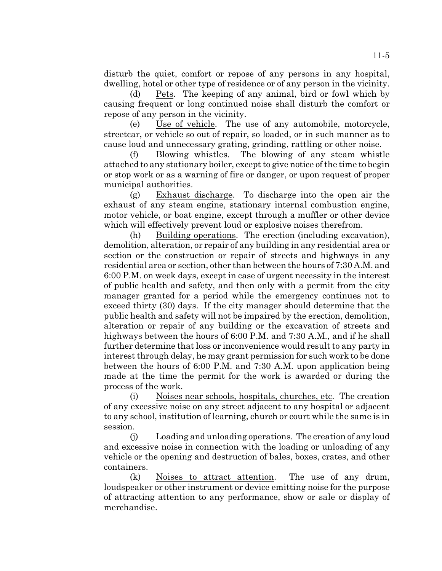disturb the quiet, comfort or repose of any persons in any hospital, dwelling, hotel or other type of residence or of any person in the vicinity.

(d) Pets. The keeping of any animal, bird or fowl which by causing frequent or long continued noise shall disturb the comfort or repose of any person in the vicinity.

(e) Use of vehicle. The use of any automobile, motorcycle, streetcar, or vehicle so out of repair, so loaded, or in such manner as to cause loud and unnecessary grating, grinding, rattling or other noise.

(f) Blowing whistles. The blowing of any steam whistle attached to any stationary boiler, except to give notice of the time to begin or stop work or as a warning of fire or danger, or upon request of proper municipal authorities.

(g) Exhaust discharge. To discharge into the open air the exhaust of any steam engine, stationary internal combustion engine, motor vehicle, or boat engine, except through a muffler or other device which will effectively prevent loud or explosive noises therefrom.

(h) Building operations. The erection (including excavation), demolition, alteration, or repair of any building in any residential area or section or the construction or repair of streets and highways in any residential area or section, other than between the hours of 7:30 A.M. and 6:00 P.M. on week days, except in case of urgent necessity in the interest of public health and safety, and then only with a permit from the city manager granted for a period while the emergency continues not to exceed thirty (30) days. If the city manager should determine that the public health and safety will not be impaired by the erection, demolition, alteration or repair of any building or the excavation of streets and highways between the hours of 6:00 P.M. and 7:30 A.M., and if he shall further determine that loss or inconvenience would result to any party in interest through delay, he may grant permission for such work to be done between the hours of 6:00 P.M. and 7:30 A.M. upon application being made at the time the permit for the work is awarded or during the process of the work.

(i) Noises near schools, hospitals, churches, etc. The creation of any excessive noise on any street adjacent to any hospital or adjacent to any school, institution of learning, church or court while the same is in session.

(j) Loading and unloading operations. The creation of any loud and excessive noise in connection with the loading or unloading of any vehicle or the opening and destruction of bales, boxes, crates, and other containers.

(k) Noises to attract attention. The use of any drum, loudspeaker or other instrument or device emitting noise for the purpose of attracting attention to any performance, show or sale or display of merchandise.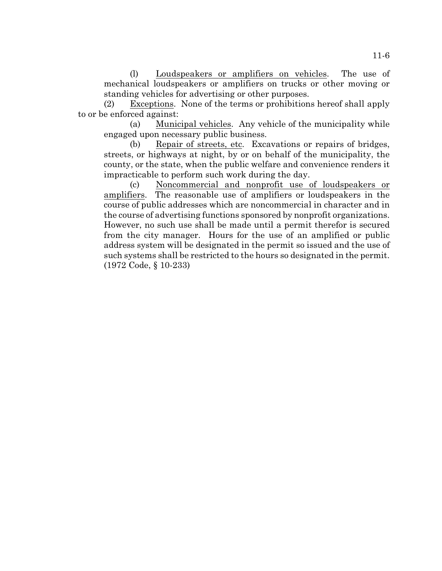(l) Loudspeakers or amplifiers on vehicles. The use of mechanical loudspeakers or amplifiers on trucks or other moving or standing vehicles for advertising or other purposes.

(2) Exceptions. None of the terms or prohibitions hereof shall apply to or be enforced against:

(a) Municipal vehicles. Any vehicle of the municipality while engaged upon necessary public business.

(b) Repair of streets, etc. Excavations or repairs of bridges, streets, or highways at night, by or on behalf of the municipality, the county, or the state, when the public welfare and convenience renders it impracticable to perform such work during the day.

(c) Noncommercial and nonprofit use of loudspeakers or amplifiers. The reasonable use of amplifiers or loudspeakers in the course of public addresses which are noncommercial in character and in the course of advertising functions sponsored by nonprofit organizations. However, no such use shall be made until a permit therefor is secured from the city manager. Hours for the use of an amplified or public address system will be designated in the permit so issued and the use of such systems shall be restricted to the hours so designated in the permit. (1972 Code, § 10-233)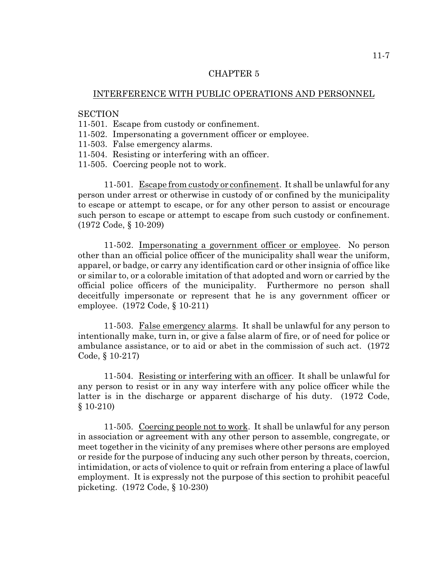#### INTERFERENCE WITH PUBLIC OPERATIONS AND PERSONNEL

#### **SECTION**

- 11-501. Escape from custody or confinement.
- 11-502. Impersonating a government officer or employee.
- 11-503. False emergency alarms.
- 11-504. Resisting or interfering with an officer.
- 11-505. Coercing people not to work.

11-501. Escape from custody or confinement. It shall be unlawful for any person under arrest or otherwise in custody of or confined by the municipality to escape or attempt to escape, or for any other person to assist or encourage such person to escape or attempt to escape from such custody or confinement. (1972 Code, § 10-209)

11-502. Impersonating a government officer or employee. No person other than an official police officer of the municipality shall wear the uniform, apparel, or badge, or carry any identification card or other insignia of office like or similar to, or a colorable imitation of that adopted and worn or carried by the official police officers of the municipality. Furthermore no person shall deceitfully impersonate or represent that he is any government officer or employee. (1972 Code, § 10-211)

11-503. False emergency alarms. It shall be unlawful for any person to intentionally make, turn in, or give a false alarm of fire, or of need for police or ambulance assistance, or to aid or abet in the commission of such act. (1972 Code, § 10-217)

11-504. Resisting or interfering with an officer. It shall be unlawful for any person to resist or in any way interfere with any police officer while the latter is in the discharge or apparent discharge of his duty. (1972 Code, § 10-210)

11-505. Coercing people not to work. It shall be unlawful for any person in association or agreement with any other person to assemble, congregate, or meet together in the vicinity of any premises where other persons are employed or reside for the purpose of inducing any such other person by threats, coercion, intimidation, or acts of violence to quit or refrain from entering a place of lawful employment. It is expressly not the purpose of this section to prohibit peaceful picketing. (1972 Code, § 10-230)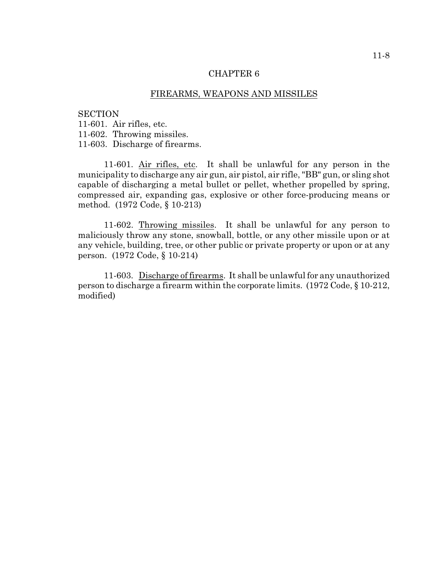#### FIREARMS, WEAPONS AND MISSILES

#### **SECTION**

11-601. Air rifles, etc.

11-602. Throwing missiles.

11-603. Discharge of firearms.

11-601. Air rifles, etc. It shall be unlawful for any person in the municipality to discharge any air gun, air pistol, air rifle, "BB" gun, or sling shot capable of discharging a metal bullet or pellet, whether propelled by spring, compressed air, expanding gas, explosive or other force-producing means or method. (1972 Code, § 10-213)

11-602. Throwing missiles. It shall be unlawful for any person to maliciously throw any stone, snowball, bottle, or any other missile upon or at any vehicle, building, tree, or other public or private property or upon or at any person. (1972 Code, § 10-214)

11-603. Discharge of firearms. It shall be unlawful for any unauthorized person to discharge a firearm within the corporate limits. (1972 Code, § 10-212, modified)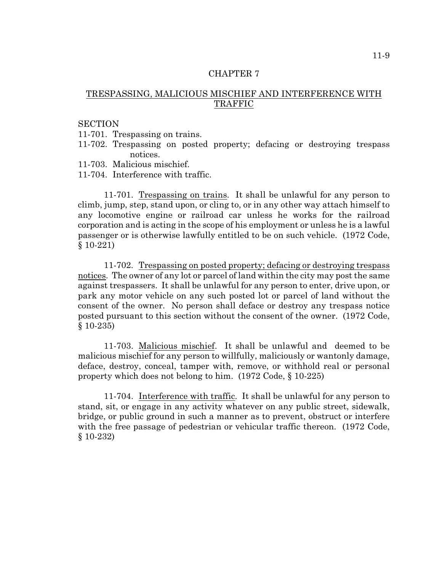## TRESPASSING, MALICIOUS MISCHIEF AND INTERFERENCE WITH TRAFFIC

#### **SECTION**

- 11-701. Trespassing on trains.
- 11-702. Trespassing on posted property; defacing or destroying trespass notices.
- 11-703. Malicious mischief.
- 11-704. Interference with traffic.

11-701. Trespassing on trains. It shall be unlawful for any person to climb, jump, step, stand upon, or cling to, or in any other way attach himself to any locomotive engine or railroad car unless he works for the railroad corporation and is acting in the scope of his employment or unless he is a lawful passenger or is otherwise lawfully entitled to be on such vehicle. (1972 Code, § 10-221)

11-702. Trespassing on posted property; defacing or destroying trespass notices. The owner of any lot or parcel of land within the city may post the same against trespassers. It shall be unlawful for any person to enter, drive upon, or park any motor vehicle on any such posted lot or parcel of land without the consent of the owner. No person shall deface or destroy any trespass notice posted pursuant to this section without the consent of the owner. (1972 Code, § 10-235)

11-703. Malicious mischief. It shall be unlawful and deemed to be malicious mischief for any person to willfully, maliciously or wantonly damage, deface, destroy, conceal, tamper with, remove, or withhold real or personal property which does not belong to him. (1972 Code, § 10-225)

11-704. Interference with traffic. It shall be unlawful for any person to stand, sit, or engage in any activity whatever on any public street, sidewalk, bridge, or public ground in such a manner as to prevent, obstruct or interfere with the free passage of pedestrian or vehicular traffic thereon. (1972 Code, § 10-232)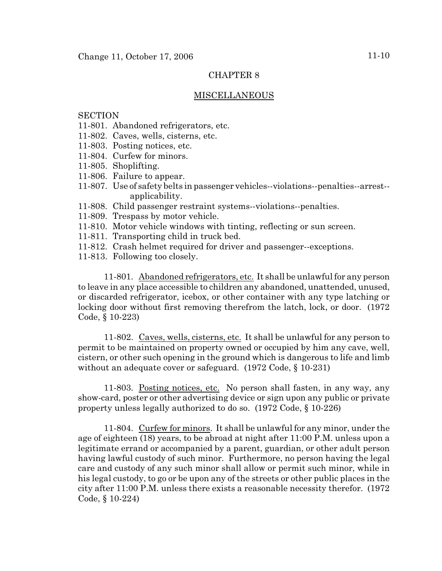## MISCELLANEOUS

## **SECTION**

- 11-801. Abandoned refrigerators, etc.
- 11-802. Caves, wells, cisterns, etc.
- 11-803. Posting notices, etc.
- 11-804. Curfew for minors.
- 11-805. Shoplifting.
- 11-806. Failure to appear.
- 11-807. Use of safety belts in passenger vehicles--violations--penalties--arrest- applicability.
- 11-808. Child passenger restraint systems--violations--penalties.
- 11-809. Trespass by motor vehicle.
- 11-810. Motor vehicle windows with tinting, reflecting or sun screen.
- 11-811. Transporting child in truck bed.
- 11-812. Crash helmet required for driver and passenger--exceptions.
- 11-813. Following too closely.

11-801. Abandoned refrigerators, etc. It shall be unlawful for any person to leave in any place accessible to children any abandoned, unattended, unused, or discarded refrigerator, icebox, or other container with any type latching or locking door without first removing therefrom the latch, lock, or door. (1972 Code, § 10-223)

11-802. Caves, wells, cisterns, etc. It shall be unlawful for any person to permit to be maintained on property owned or occupied by him any cave, well, cistern, or other such opening in the ground which is dangerous to life and limb without an adequate cover or safeguard. (1972 Code, § 10-231)

11-803. Posting notices, etc. No person shall fasten, in any way, any show-card, poster or other advertising device or sign upon any public or private property unless legally authorized to do so. (1972 Code, § 10-226)

11-804. Curfew for minors. It shall be unlawful for any minor, under the age of eighteen (18) years, to be abroad at night after 11:00 P.M. unless upon a legitimate errand or accompanied by a parent, guardian, or other adult person having lawful custody of such minor. Furthermore, no person having the legal care and custody of any such minor shall allow or permit such minor, while in his legal custody, to go or be upon any of the streets or other public places in the city after 11:00 P.M. unless there exists a reasonable necessity therefor. (1972 Code, § 10-224)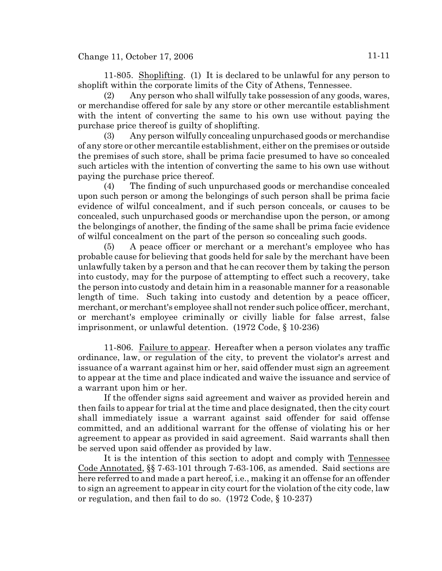Change 11, October 17, 2006 11-11

11-805. Shoplifting. (1) It is declared to be unlawful for any person to shoplift within the corporate limits of the City of Athens, Tennessee.

(2) Any person who shall wilfully take possession of any goods, wares, or merchandise offered for sale by any store or other mercantile establishment with the intent of converting the same to his own use without paying the purchase price thereof is guilty of shoplifting.

(3) Any person wilfully concealing unpurchased goods or merchandise of any store or other mercantile establishment, either on the premises or outside the premises of such store, shall be prima facie presumed to have so concealed such articles with the intention of converting the same to his own use without paying the purchase price thereof.

(4) The finding of such unpurchased goods or merchandise concealed upon such person or among the belongings of such person shall be prima facie evidence of wilful concealment, and if such person conceals, or causes to be concealed, such unpurchased goods or merchandise upon the person, or among the belongings of another, the finding of the same shall be prima facie evidence of wilful concealment on the part of the person so concealing such goods.

(5) A peace officer or merchant or a merchant's employee who has probable cause for believing that goods held for sale by the merchant have been unlawfully taken by a person and that he can recover them by taking the person into custody, may for the purpose of attempting to effect such a recovery, take the person into custody and detain him in a reasonable manner for a reasonable length of time. Such taking into custody and detention by a peace officer, merchant, or merchant's employee shall not render such police officer, merchant, or merchant's employee criminally or civilly liable for false arrest, false imprisonment, or unlawful detention. (1972 Code, § 10-236)

11-806. Failure to appear. Hereafter when a person violates any traffic ordinance, law, or regulation of the city, to prevent the violator's arrest and issuance of a warrant against him or her, said offender must sign an agreement to appear at the time and place indicated and waive the issuance and service of a warrant upon him or her.

If the offender signs said agreement and waiver as provided herein and then fails to appear for trial at the time and place designated, then the city court shall immediately issue a warrant against said offender for said offense committed, and an additional warrant for the offense of violating his or her agreement to appear as provided in said agreement. Said warrants shall then be served upon said offender as provided by law.

It is the intention of this section to adopt and comply with Tennessee Code Annotated, §§ 7-63-101 through 7-63-106, as amended. Said sections are here referred to and made a part hereof, i.e., making it an offense for an offender to sign an agreement to appear in city court for the violation of the city code, law or regulation, and then fail to do so. (1972 Code, § 10-237)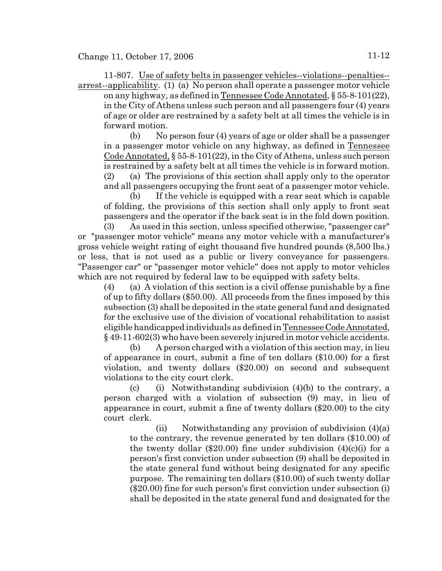11-807. Use of safety belts in passenger vehicles--violations--penalties- arrest--applicability. (1) (a) No person shall operate a passenger motor vehicle

on any highway, as defined in Tennessee Code Annotated, § 55-8-101(22), in the City of Athens unless such person and all passengers four (4) years of age or older are restrained by a safety belt at all times the vehicle is in forward motion.

(b) No person four (4) years of age or older shall be a passenger in a passenger motor vehicle on any highway, as defined in Tennessee Code Annotated, § 55-8-101(22), in the City of Athens, unless such person is restrained by a safety belt at all times the vehicle is in forward motion. (2) (a) The provisions of this section shall apply only to the operator and all passengers occupying the front seat of a passenger motor vehicle.

(b) If the vehicle is equipped with a rear seat which is capable of folding, the provisions of this section shall only apply to front seat passengers and the operator if the back seat is in the fold down position.

(3) As used in this section, unless specified otherwise, "passenger car" or "passenger motor vehicle" means any motor vehicle with a manufacturer's gross vehicle weight rating of eight thousand five hundred pounds (8,500 lbs.) or less, that is not used as a public or livery conveyance for passengers. "Passenger car" or "passenger motor vehicle" does not apply to motor vehicles which are not required by federal law to be equipped with safety belts.

(4) (a) A violation of this section is a civil offense punishable by a fine of up to fifty dollars (\$50.00). All proceeds from the fines imposed by this subsection (3) shall be deposited in the state general fund and designated for the exclusive use of the division of vocational rehabilitation to assist eligible handicapped individuals as defined in Tennessee Code Annotated, § 49-11-602(3) who have been severely injured in motor vehicle accidents.

(b) A person charged with a violation of this section may, in lieu of appearance in court, submit a fine of ten dollars (\$10.00) for a first violation, and twenty dollars (\$20.00) on second and subsequent violations to the city court clerk.

(c) (i) Notwithstanding subdivision  $(4)(b)$  to the contrary, a person charged with a violation of subsection (9) may, in lieu of appearance in court, submit a fine of twenty dollars (\$20.00) to the city court clerk.

(ii) Notwithstanding any provision of subdivision  $(4)(a)$ to the contrary, the revenue generated by ten dollars (\$10.00) of the twenty dollar (\$20.00) fine under subdivision  $(4)(c)(i)$  for a person's first conviction under subsection (9) shall be deposited in the state general fund without being designated for any specific purpose. The remaining ten dollars (\$10.00) of such twenty dollar (\$20.00) fine for such person's first conviction under subsection (i) shall be deposited in the state general fund and designated for the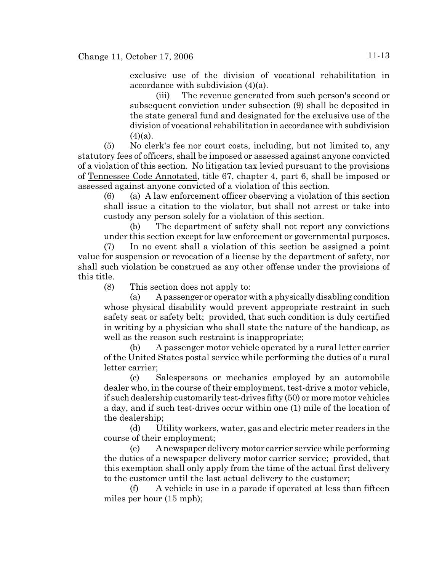exclusive use of the division of vocational rehabilitation in accordance with subdivision (4)(a).

(iii) The revenue generated from such person's second or subsequent conviction under subsection (9) shall be deposited in the state general fund and designated for the exclusive use of the division of vocational rehabilitation in accordance with subdivision  $(4)(a)$ .

(5) No clerk's fee nor court costs, including, but not limited to, any statutory fees of officers, shall be imposed or assessed against anyone convicted of a violation of this section. No litigation tax levied pursuant to the provisions of Tennessee Code Annotated, title 67, chapter 4, part 6, shall be imposed or assessed against anyone convicted of a violation of this section.

(6) (a) A law enforcement officer observing a violation of this section shall issue a citation to the violator, but shall not arrest or take into custody any person solely for a violation of this section.

(b) The department of safety shall not report any convictions under this section except for law enforcement or governmental purposes.

(7) In no event shall a violation of this section be assigned a point value for suspension or revocation of a license by the department of safety, nor shall such violation be construed as any other offense under the provisions of this title.

(8) This section does not apply to:

(a) A passenger or operator with a physically disabling condition whose physical disability would prevent appropriate restraint in such safety seat or safety belt; provided, that such condition is duly certified in writing by a physician who shall state the nature of the handicap, as well as the reason such restraint is inappropriate;

(b) A passenger motor vehicle operated by a rural letter carrier of the United States postal service while performing the duties of a rural letter carrier;

(c) Salespersons or mechanics employed by an automobile dealer who, in the course of their employment, test-drive a motor vehicle, if such dealership customarily test-drives fifty (50) or more motor vehicles a day, and if such test-drives occur within one (1) mile of the location of the dealership;

(d) Utility workers, water, gas and electric meter readers in the course of their employment;

(e) A newspaper delivery motor carrier service while performing the duties of a newspaper delivery motor carrier service; provided, that this exemption shall only apply from the time of the actual first delivery to the customer until the last actual delivery to the customer;

(f) A vehicle in use in a parade if operated at less than fifteen miles per hour (15 mph);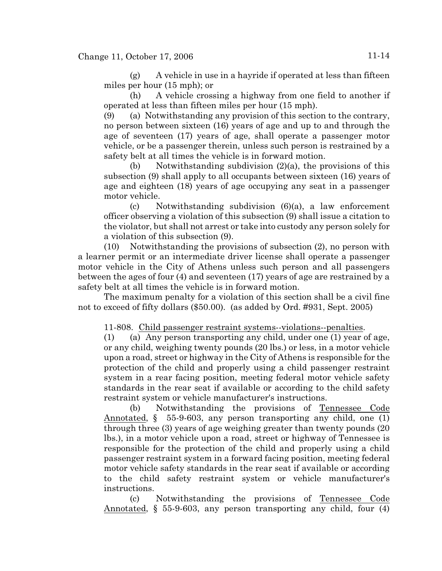(g) A vehicle in use in a hayride if operated at less than fifteen miles per hour (15 mph); or

(h) A vehicle crossing a highway from one field to another if operated at less than fifteen miles per hour (15 mph).

(9) (a) Notwithstanding any provision of this section to the contrary, no person between sixteen (16) years of age and up to and through the age of seventeen (17) years of age, shall operate a passenger motor vehicle, or be a passenger therein, unless such person is restrained by a safety belt at all times the vehicle is in forward motion.

(b) Notwithstanding subdivision  $(2)(a)$ , the provisions of this subsection (9) shall apply to all occupants between sixteen (16) years of age and eighteen (18) years of age occupying any seat in a passenger motor vehicle.

(c) Notwithstanding subdivision  $(6)(a)$ , a law enforcement officer observing a violation of this subsection (9) shall issue a citation to the violator, but shall not arrest or take into custody any person solely for a violation of this subsection (9).

(10) Notwithstanding the provisions of subsection (2), no person with a learner permit or an intermediate driver license shall operate a passenger motor vehicle in the City of Athens unless such person and all passengers between the ages of four (4) and seventeen (17) years of age are restrained by a safety belt at all times the vehicle is in forward motion.

The maximum penalty for a violation of this section shall be a civil fine not to exceed of fifty dollars (\$50.00). (as added by Ord. #931, Sept. 2005)

11-808. Child passenger restraint systems--violations--penalties.

(1) (a) Any person transporting any child, under one (1) year of age, or any child, weighing twenty pounds (20 lbs.) or less, in a motor vehicle upon a road, street or highway in the City of Athens is responsible for the protection of the child and properly using a child passenger restraint system in a rear facing position, meeting federal motor vehicle safety standards in the rear seat if available or according to the child safety restraint system or vehicle manufacturer's instructions.

(b) Notwithstanding the provisions of Tennessee Code Annotated, § 55-9-603, any person transporting any child, one (1) through three (3) years of age weighing greater than twenty pounds (20 lbs.), in a motor vehicle upon a road, street or highway of Tennessee is responsible for the protection of the child and properly using a child passenger restraint system in a forward facing position, meeting federal motor vehicle safety standards in the rear seat if available or according to the child safety restraint system or vehicle manufacturer's instructions.

(c) Notwithstanding the provisions of Tennessee Code Annotated, § 55-9-603, any person transporting any child, four (4)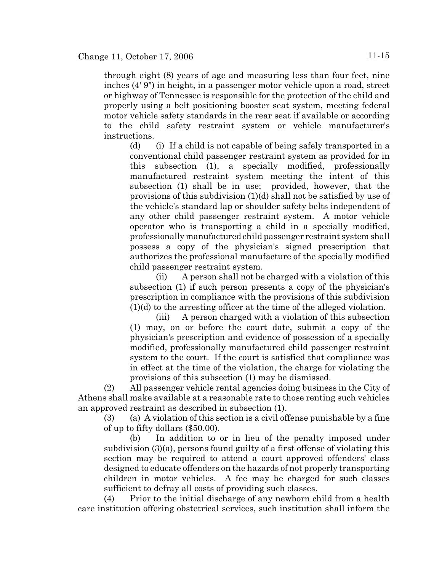through eight (8) years of age and measuring less than four feet, nine inches (4' 9") in height, in a passenger motor vehicle upon a road, street or highway of Tennessee is responsible for the protection of the child and properly using a belt positioning booster seat system, meeting federal motor vehicle safety standards in the rear seat if available or according to the child safety restraint system or vehicle manufacturer's instructions.

(d) (i) If a child is not capable of being safely transported in a conventional child passenger restraint system as provided for in this subsection (1), a specially modified, professionally manufactured restraint system meeting the intent of this subsection (1) shall be in use; provided, however, that the provisions of this subdivision (1)(d) shall not be satisfied by use of the vehicle's standard lap or shoulder safety belts independent of any other child passenger restraint system. A motor vehicle operator who is transporting a child in a specially modified, professionally manufactured child passenger restraint system shall possess a copy of the physician's signed prescription that authorizes the professional manufacture of the specially modified child passenger restraint system.

(ii) A person shall not be charged with a violation of this subsection (1) if such person presents a copy of the physician's prescription in compliance with the provisions of this subdivision (1)(d) to the arresting officer at the time of the alleged violation.

(iii) A person charged with a violation of this subsection (1) may, on or before the court date, submit a copy of the physician's prescription and evidence of possession of a specially modified, professionally manufactured child passenger restraint system to the court. If the court is satisfied that compliance was in effect at the time of the violation, the charge for violating the provisions of this subsection (1) may be dismissed.

(2) All passenger vehicle rental agencies doing business in the City of Athens shall make available at a reasonable rate to those renting such vehicles an approved restraint as described in subsection (1).

(3) (a) A violation of this section is a civil offense punishable by a fine of up to fifty dollars (\$50.00).

(b) In addition to or in lieu of the penalty imposed under subdivision (3)(a), persons found guilty of a first offense of violating this section may be required to attend a court approved offenders' class designed to educate offenders on the hazards of not properly transporting children in motor vehicles. A fee may be charged for such classes sufficient to defray all costs of providing such classes.

(4) Prior to the initial discharge of any newborn child from a health care institution offering obstetrical services, such institution shall inform the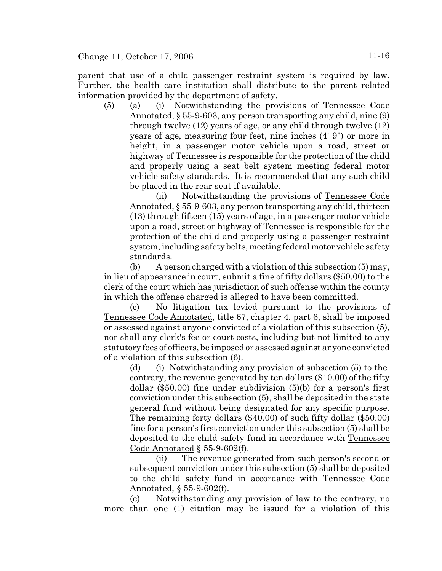Change 11, October 17, 2006 11-16

parent that use of a child passenger restraint system is required by law. Further, the health care institution shall distribute to the parent related information provided by the department of safety.

(5) (a) (i) Notwithstanding the provisions of Tennessee Code Annotated, § 55-9-603, any person transporting any child, nine (9) through twelve (12) years of age, or any child through twelve (12) years of age, measuring four feet, nine inches (4' 9") or more in height, in a passenger motor vehicle upon a road, street or highway of Tennessee is responsible for the protection of the child and properly using a seat belt system meeting federal motor vehicle safety standards. It is recommended that any such child be placed in the rear seat if available.

(ii) Notwithstanding the provisions of Tennessee Code Annotated, § 55-9-603, any person transporting any child, thirteen (13) through fifteen (15) years of age, in a passenger motor vehicle upon a road, street or highway of Tennessee is responsible for the protection of the child and properly using a passenger restraint system, including safety belts, meeting federal motor vehicle safety standards.

(b) A person charged with a violation of this subsection (5) may, in lieu of appearance in court, submit a fine of fifty dollars (\$50.00) to the clerk of the court which has jurisdiction of such offense within the county in which the offense charged is alleged to have been committed.

(c) No litigation tax levied pursuant to the provisions of Tennessee Code Annotated, title 67, chapter 4, part 6, shall be imposed or assessed against anyone convicted of a violation of this subsection (5), nor shall any clerk's fee or court costs, including but not limited to any statutory fees of officers, be imposed or assessed against anyone convicted of a violation of this subsection (6).

(d) (i) Notwithstanding any provision of subsection (5) to the contrary, the revenue generated by ten dollars (\$10.00) of the fifty dollar (\$50.00) fine under subdivision (5)(b) for a person's first conviction under this subsection (5), shall be deposited in the state general fund without being designated for any specific purpose. The remaining forty dollars (\$40.00) of such fifty dollar (\$50.00) fine for a person's first conviction under this subsection (5) shall be deposited to the child safety fund in accordance with Tennessee Code Annotated  $\S$  55-9-602(f).

(ii) The revenue generated from such person's second or subsequent conviction under this subsection (5) shall be deposited to the child safety fund in accordance with Tennessee Code Annotated, § 55-9-602(f).

(e) Notwithstanding any provision of law to the contrary, no more than one (1) citation may be issued for a violation of this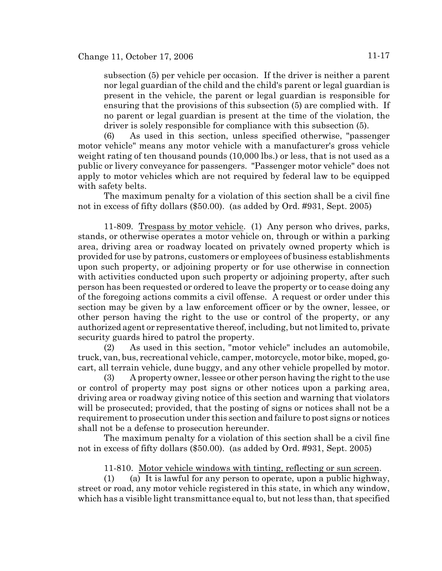subsection (5) per vehicle per occasion. If the driver is neither a parent nor legal guardian of the child and the child's parent or legal guardian is present in the vehicle, the parent or legal guardian is responsible for ensuring that the provisions of this subsection (5) are complied with. If no parent or legal guardian is present at the time of the violation, the driver is solely responsible for compliance with this subsection (5).

(6) As used in this section, unless specified otherwise, "passenger motor vehicle" means any motor vehicle with a manufacturer's gross vehicle weight rating of ten thousand pounds (10,000 lbs.) or less, that is not used as a public or livery conveyance for passengers. "Passenger motor vehicle" does not apply to motor vehicles which are not required by federal law to be equipped with safety belts.

The maximum penalty for a violation of this section shall be a civil fine not in excess of fifty dollars (\$50.00). (as added by Ord. #931, Sept. 2005)

11-809. Trespass by motor vehicle. (1) Any person who drives, parks, stands, or otherwise operates a motor vehicle on, through or within a parking area, driving area or roadway located on privately owned property which is provided for use by patrons, customers or employees of business establishments upon such property, or adjoining property or for use otherwise in connection with activities conducted upon such property or adjoining property, after such person has been requested or ordered to leave the property or to cease doing any of the foregoing actions commits a civil offense. A request or order under this section may be given by a law enforcement officer or by the owner, lessee, or other person having the right to the use or control of the property, or any authorized agent or representative thereof, including, but not limited to, private security guards hired to patrol the property.

(2) As used in this section, "motor vehicle" includes an automobile, truck, van, bus, recreational vehicle, camper, motorcycle, motor bike, moped, gocart, all terrain vehicle, dune buggy, and any other vehicle propelled by motor.

(3) A property owner, lessee or other person having the right to the use or control of property may post signs or other notices upon a parking area, driving area or roadway giving notice of this section and warning that violators will be prosecuted; provided, that the posting of signs or notices shall not be a requirement to prosecution under this section and failure to post signs or notices shall not be a defense to prosecution hereunder.

The maximum penalty for a violation of this section shall be a civil fine not in excess of fifty dollars (\$50.00). (as added by Ord. #931, Sept. 2005)

11-810. Motor vehicle windows with tinting, reflecting or sun screen.

(1) (a) It is lawful for any person to operate, upon a public highway, street or road, any motor vehicle registered in this state, in which any window, which has a visible light transmittance equal to, but not less than, that specified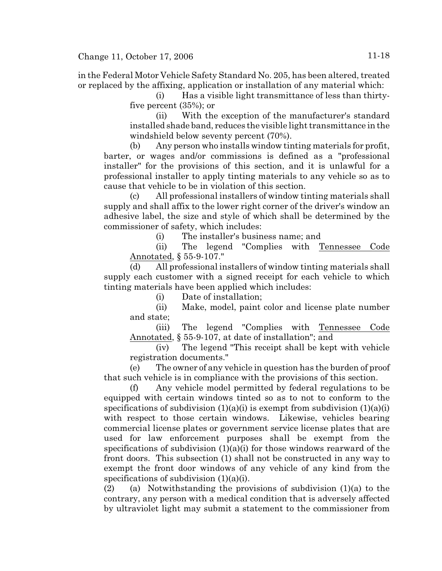in the Federal Motor Vehicle Safety Standard No. 205, has been altered, treated or replaced by the affixing, application or installation of any material which:

> (i) Has a visible light transmittance of less than thirtyfive percent (35%); or

> (ii) With the exception of the manufacturer's standard installed shade band, reduces the visible light transmittance in the windshield below seventy percent (70%).

(b) Any person who installs window tinting materials for profit, barter, or wages and/or commissions is defined as a "professional installer" for the provisions of this section, and it is unlawful for a professional installer to apply tinting materials to any vehicle so as to cause that vehicle to be in violation of this section.

(c) All professional installers of window tinting materials shall supply and shall affix to the lower right corner of the driver's window an adhesive label, the size and style of which shall be determined by the commissioner of safety, which includes:

(i) The installer's business name; and

(ii) The legend "Complies with Tennessee Code Annotated, § 55-9-107."

(d) All professional installers of window tinting materials shall supply each customer with a signed receipt for each vehicle to which tinting materials have been applied which includes:

(i) Date of installation;

(ii) Make, model, paint color and license plate number and state;

(iii) The legend "Complies with Tennessee Code Annotated, § 55-9-107, at date of installation"; and

(iv) The legend "This receipt shall be kept with vehicle registration documents."

(e) The owner of any vehicle in question has the burden of proof that such vehicle is in compliance with the provisions of this section.

(f) Any vehicle model permitted by federal regulations to be equipped with certain windows tinted so as to not to conform to the specifications of subdivision  $(1)(a)(i)$  is exempt from subdivision  $(1)(a)(i)$ with respect to those certain windows. Likewise, vehicles bearing commercial license plates or government service license plates that are used for law enforcement purposes shall be exempt from the specifications of subdivision  $(1)(a)(i)$  for those windows rearward of the front doors. This subsection (1) shall not be constructed in any way to exempt the front door windows of any vehicle of any kind from the specifications of subdivision  $(1)(a)(i)$ .

(2) (a) Notwithstanding the provisions of subdivision  $(1)(a)$  to the contrary, any person with a medical condition that is adversely affected by ultraviolet light may submit a statement to the commissioner from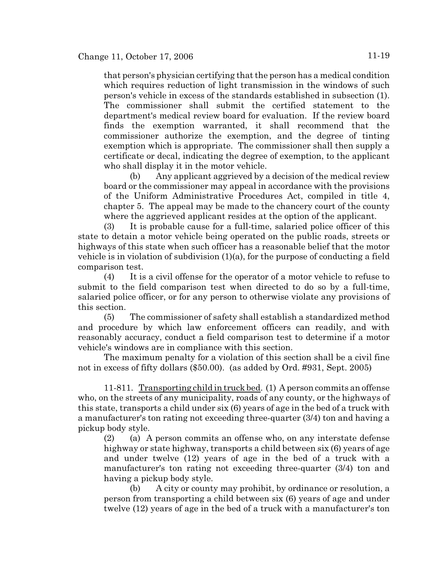that person's physician certifying that the person has a medical condition which requires reduction of light transmission in the windows of such person's vehicle in excess of the standards established in subsection (1). The commissioner shall submit the certified statement to the department's medical review board for evaluation. If the review board finds the exemption warranted, it shall recommend that the commissioner authorize the exemption, and the degree of tinting exemption which is appropriate. The commissioner shall then supply a certificate or decal, indicating the degree of exemption, to the applicant who shall display it in the motor vehicle.

(b) Any applicant aggrieved by a decision of the medical review board or the commissioner may appeal in accordance with the provisions of the Uniform Administrative Procedures Act, compiled in title 4, chapter 5. The appeal may be made to the chancery court of the county where the aggrieved applicant resides at the option of the applicant.

(3) It is probable cause for a full-time, salaried police officer of this state to detain a motor vehicle being operated on the public roads, streets or highways of this state when such officer has a reasonable belief that the motor vehicle is in violation of subdivision (1)(a), for the purpose of conducting a field comparison test.

(4) It is a civil offense for the operator of a motor vehicle to refuse to submit to the field comparison test when directed to do so by a full-time, salaried police officer, or for any person to otherwise violate any provisions of this section.

(5) The commissioner of safety shall establish a standardized method and procedure by which law enforcement officers can readily, and with reasonably accuracy, conduct a field comparison test to determine if a motor vehicle's windows are in compliance with this section.

The maximum penalty for a violation of this section shall be a civil fine not in excess of fifty dollars (\$50.00). (as added by Ord. #931, Sept. 2005)

11-811. Transporting child in truck bed. (1) A person commits an offense who, on the streets of any municipality, roads of any county, or the highways of this state, transports a child under six (6) years of age in the bed of a truck with a manufacturer's ton rating not exceeding three-quarter (3/4) ton and having a pickup body style.

(2) (a) A person commits an offense who, on any interstate defense highway or state highway, transports a child between six (6) years of age and under twelve (12) years of age in the bed of a truck with a manufacturer's ton rating not exceeding three-quarter (3/4) ton and having a pickup body style.

(b) A city or county may prohibit, by ordinance or resolution, a person from transporting a child between six (6) years of age and under twelve (12) years of age in the bed of a truck with a manufacturer's ton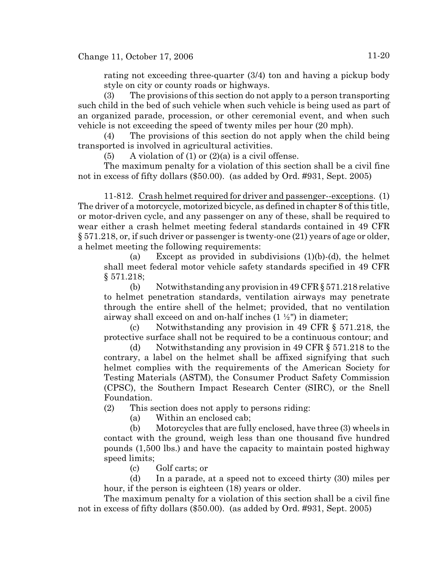rating not exceeding three-quarter (3/4) ton and having a pickup body style on city or county roads or highways.

(3) The provisions of this section do not apply to a person transporting such child in the bed of such vehicle when such vehicle is being used as part of an organized parade, procession, or other ceremonial event, and when such vehicle is not exceeding the speed of twenty miles per hour (20 mph).

(4) The provisions of this section do not apply when the child being transported is involved in agricultural activities.

(5) A violation of (1) or  $(2)(a)$  is a civil offense.

The maximum penalty for a violation of this section shall be a civil fine not in excess of fifty dollars (\$50.00). (as added by Ord. #931, Sept. 2005)

11-812. Crash helmet required for driver and passenger--exceptions. (1) The driver of a motorcycle, motorized bicycle, as defined in chapter 8 of this title, or motor-driven cycle, and any passenger on any of these, shall be required to wear either a crash helmet meeting federal standards contained in 49 CFR § 571.218, or, if such driver or passenger is twenty-one (21) years of age or older, a helmet meeting the following requirements:

(a) Except as provided in subdivisions  $(1)(b)-(d)$ , the helmet shall meet federal motor vehicle safety standards specified in 49 CFR § 571.218;

(b) Notwithstanding any provision in 49 CFR § 571.218 relative to helmet penetration standards, ventilation airways may penetrate through the entire shell of the helmet; provided, that no ventilation airway shall exceed on and on-half inches  $(1 \frac{1}{2})$  in diameter;

(c) Notwithstanding any provision in 49 CFR § 571.218, the protective surface shall not be required to be a continuous contour; and

(d) Notwithstanding any provision in 49 CFR § 571.218 to the contrary, a label on the helmet shall be affixed signifying that such helmet complies with the requirements of the American Society for Testing Materials (ASTM), the Consumer Product Safety Commission (CPSC), the Southern Impact Research Center (SIRC), or the Snell Foundation.

(2) This section does not apply to persons riding:

(a) Within an enclosed cab;

(b) Motorcycles that are fully enclosed, have three (3) wheels in contact with the ground, weigh less than one thousand five hundred pounds (1,500 lbs.) and have the capacity to maintain posted highway speed limits;

(c) Golf carts; or

(d) In a parade, at a speed not to exceed thirty (30) miles per hour, if the person is eighteen (18) years or older.

The maximum penalty for a violation of this section shall be a civil fine not in excess of fifty dollars (\$50.00). (as added by Ord. #931, Sept. 2005)